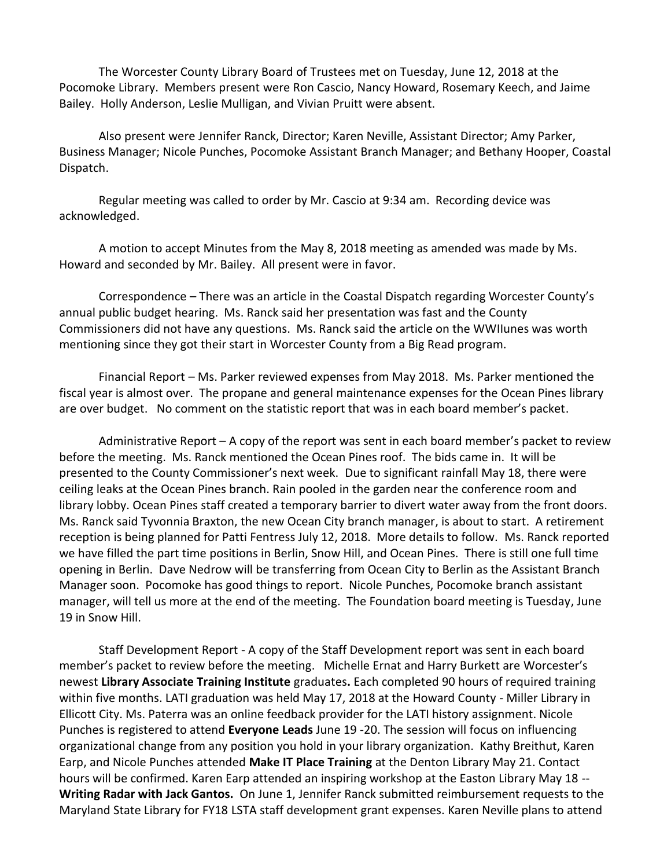The Worcester County Library Board of Trustees met on Tuesday, June 12, 2018 at the Pocomoke Library. Members present were Ron Cascio, Nancy Howard, Rosemary Keech, and Jaime Bailey. Holly Anderson, Leslie Mulligan, and Vivian Pruitt were absent.

Also present were Jennifer Ranck, Director; Karen Neville, Assistant Director; Amy Parker, Business Manager; Nicole Punches, Pocomoke Assistant Branch Manager; and Bethany Hooper, Coastal Dispatch.

Regular meeting was called to order by Mr. Cascio at 9:34 am. Recording device was acknowledged.

A motion to accept Minutes from the May 8, 2018 meeting as amended was made by Ms. Howard and seconded by Mr. Bailey. All present were in favor.

Correspondence – There was an article in the Coastal Dispatch regarding Worcester County's annual public budget hearing. Ms. Ranck said her presentation was fast and the County Commissioners did not have any questions. Ms. Ranck said the article on the WWIIunes was worth mentioning since they got their start in Worcester County from a Big Read program.

Financial Report – Ms. Parker reviewed expenses from May 2018. Ms. Parker mentioned the fiscal year is almost over. The propane and general maintenance expenses for the Ocean Pines library are over budget. No comment on the statistic report that was in each board member's packet.

Administrative Report – A copy of the report was sent in each board member's packet to review before the meeting. Ms. Ranck mentioned the Ocean Pines roof. The bids came in. It will be presented to the County Commissioner's next week. Due to significant rainfall May 18, there were ceiling leaks at the Ocean Pines branch. Rain pooled in the garden near the conference room and library lobby. Ocean Pines staff created a temporary barrier to divert water away from the front doors. Ms. Ranck said Tyvonnia Braxton, the new Ocean City branch manager, is about to start. A retirement reception is being planned for Patti Fentress July 12, 2018. More details to follow. Ms. Ranck reported we have filled the part time positions in Berlin, Snow Hill, and Ocean Pines. There is still one full time opening in Berlin. Dave Nedrow will be transferring from Ocean City to Berlin as the Assistant Branch Manager soon. Pocomoke has good things to report. Nicole Punches, Pocomoke branch assistant manager, will tell us more at the end of the meeting. The Foundation board meeting is Tuesday, June 19 in Snow Hill.

Staff Development Report - A copy of the Staff Development report was sent in each board member's packet to review before the meeting. Michelle Ernat and Harry Burkett are Worcester's newest **Library Associate Training Institute** graduates**.** Each completed 90 hours of required training within five months. LATI graduation was held May 17, 2018 at the Howard County - Miller Library in Ellicott City. Ms. Paterra was an online feedback provider for the LATI history assignment. Nicole Punches is registered to attend **Everyone Leads** June 19 -20. The session will focus on influencing organizational change from any position you hold in your library organization. Kathy Breithut, Karen Earp, and Nicole Punches attended **Make IT Place Training** at the Denton Library May 21. Contact hours will be confirmed. Karen Earp attended an inspiring workshop at the Easton Library May 18 -- **Writing Radar with Jack Gantos.** On June 1, Jennifer Ranck submitted reimbursement requests to the Maryland State Library for FY18 LSTA staff development grant expenses. Karen Neville plans to attend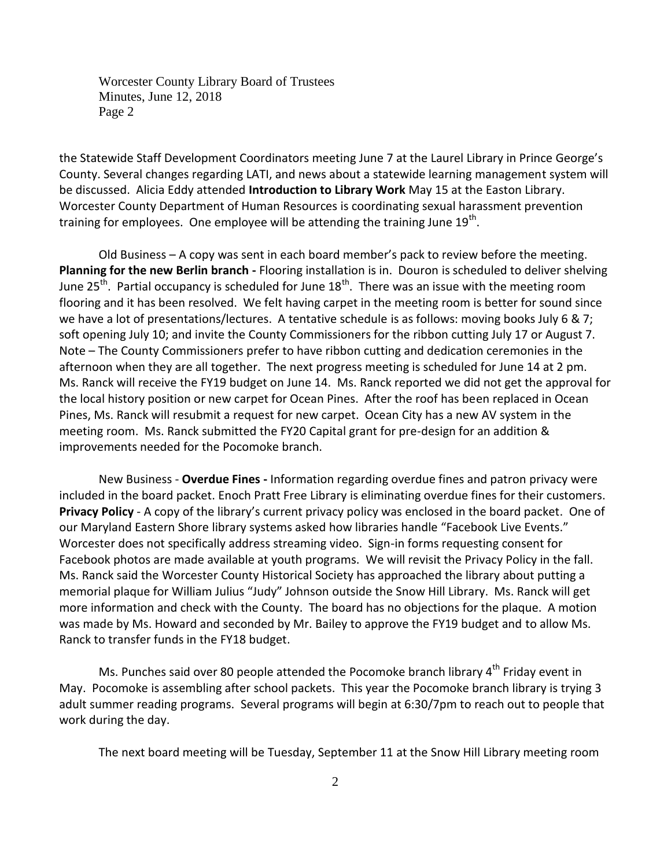Worcester County Library Board of Trustees Minutes, June 12, 2018 Page 2

the Statewide Staff Development Coordinators meeting June 7 at the Laurel Library in Prince George's County. Several changes regarding LATI, and news about a statewide learning management system will be discussed. Alicia Eddy attended **Introduction to Library Work** May 15 at the Easton Library. Worcester County Department of Human Resources is coordinating sexual harassment prevention training for employees. One employee will be attending the training June  $19^{\text{th}}$ .

Old Business – A copy was sent in each board member's pack to review before the meeting. **Planning for the new Berlin branch -** Flooring installation is in. Douron is scheduled to deliver shelving June 25<sup>th</sup>. Partial occupancy is scheduled for June 18<sup>th</sup>. There was an issue with the meeting room flooring and it has been resolved. We felt having carpet in the meeting room is better for sound since we have a lot of presentations/lectures. A tentative schedule is as follows: moving books July 6 & 7; soft opening July 10; and invite the County Commissioners for the ribbon cutting July 17 or August 7. Note – The County Commissioners prefer to have ribbon cutting and dedication ceremonies in the afternoon when they are all together. The next progress meeting is scheduled for June 14 at 2 pm. Ms. Ranck will receive the FY19 budget on June 14. Ms. Ranck reported we did not get the approval for the local history position or new carpet for Ocean Pines. After the roof has been replaced in Ocean Pines, Ms. Ranck will resubmit a request for new carpet. Ocean City has a new AV system in the meeting room. Ms. Ranck submitted the FY20 Capital grant for pre-design for an addition & improvements needed for the Pocomoke branch.

New Business - **Overdue Fines -** Information regarding overdue fines and patron privacy were included in the board packet. Enoch Pratt Free Library is eliminating overdue fines for their customers. **Privacy Policy** - A copy of the library's current privacy policy was enclosed in the board packet. One of our Maryland Eastern Shore library systems asked how libraries handle "Facebook Live Events." Worcester does not specifically address streaming video. Sign-in forms requesting consent for Facebook photos are made available at youth programs. We will revisit the Privacy Policy in the fall. Ms. Ranck said the Worcester County Historical Society has approached the library about putting a memorial plaque for William Julius "Judy" Johnson outside the Snow Hill Library. Ms. Ranck will get more information and check with the County. The board has no objections for the plaque. A motion was made by Ms. Howard and seconded by Mr. Bailey to approve the FY19 budget and to allow Ms. Ranck to transfer funds in the FY18 budget.

Ms. Punches said over 80 people attended the Pocomoke branch library 4<sup>th</sup> Friday event in May. Pocomoke is assembling after school packets. This year the Pocomoke branch library is trying 3 adult summer reading programs. Several programs will begin at 6:30/7pm to reach out to people that work during the day.

The next board meeting will be Tuesday, September 11 at the Snow Hill Library meeting room